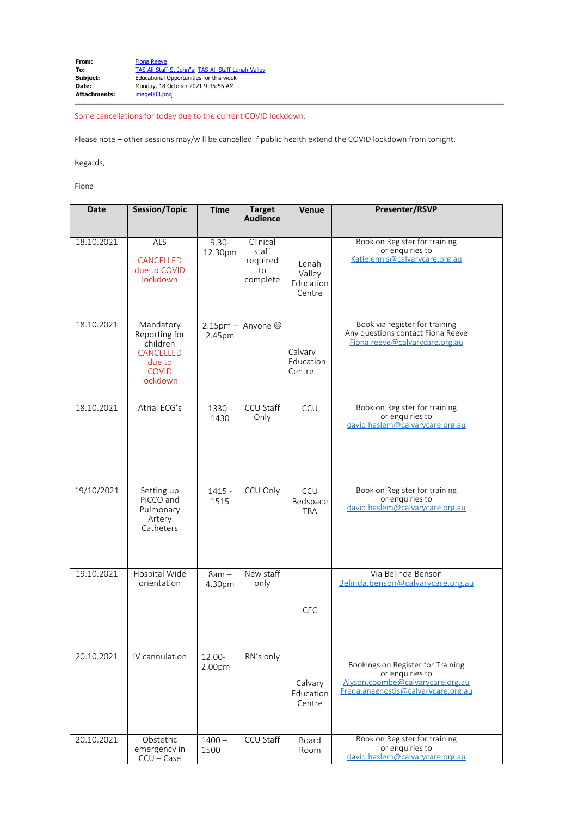Some cancellations for today due to the current COVID lockdown.

Please note – other sessions may/will be cancelled if public health extend the COVID lockdown from tonight.

Regards,

Fiona

| <b>Date</b> | <b>Session/Topic</b>                                                                             | <b>Time</b>          | <b>Target</b><br><b>Audience</b>                | Venue                                  | <b>Presenter/RSVP</b>                                                                                                           |
|-------------|--------------------------------------------------------------------------------------------------|----------------------|-------------------------------------------------|----------------------------------------|---------------------------------------------------------------------------------------------------------------------------------|
| 18.10.2021  | ALS<br><b>CANCELLED</b><br>due to COVID<br>lockdown                                              | $9.30 -$<br>12.30pm  | Clinical<br>staff<br>required<br>to<br>complete | Lenah<br>Valley<br>Education<br>Centre | Book on Register for training<br>or enquiries to<br>Katie.ennis@calvarycare.org.au                                              |
| 18.10.2021  | Mandatory<br>Reporting for<br>children<br><b>CANCELLED</b><br>due to<br><b>COVID</b><br>lockdown | $2.15pm$ -<br>2.45pm | Anyone $\circledcirc$                           | Calvary<br>Education<br>Centre         | Book via register for training<br>Any questions contact Fiona Reeve<br>Fiona.reeve@calvarycare.org.au                           |
| 18.10.2021  | Atrial ECG's                                                                                     | 1330 -<br>1430       | CCU Staff<br>Only                               | CCU                                    | Book on Register for training<br>or enquiries to<br>david.haslem@calvarycare.org.au                                             |
| 19/10/2021  | Setting up<br>PiCCO and<br>Pulmonary<br>Artery<br>Catheters                                      | $1415 -$<br>1515     | CCU Only                                        | CCU<br>Bedspace<br><b>TBA</b>          | Book on Register for training<br>or enquiries to<br>david.haslem@calvarycare.org.au                                             |
| 19.10.2021  | Hospital Wide<br>orientation                                                                     | $8am -$<br>4.30pm    | New staff<br>only                               | <b>CEC</b>                             | Via Belinda Benson<br>Belinda.benson@calvarycare.org.au                                                                         |
| 20.10.2021  | IV cannulation                                                                                   | 12.00-<br>2.00pm     | RN's only                                       | Calvary<br>Education<br>Centre         | Bookings on Register for Training<br>or enquiries to<br>Alyson.coombe@calvarycare.org.au<br>Freda.anagnostis@calvarycare.org.au |
| 20.10.2021  | Obstetric<br>emergency in<br>$CCU - Case$                                                        | $1400 -$<br>1500     | <b>CCU Staff</b>                                | Board<br>Room                          | Book on Register for training<br>or enquiries to<br>david.haslem@calvarycare.org.au                                             |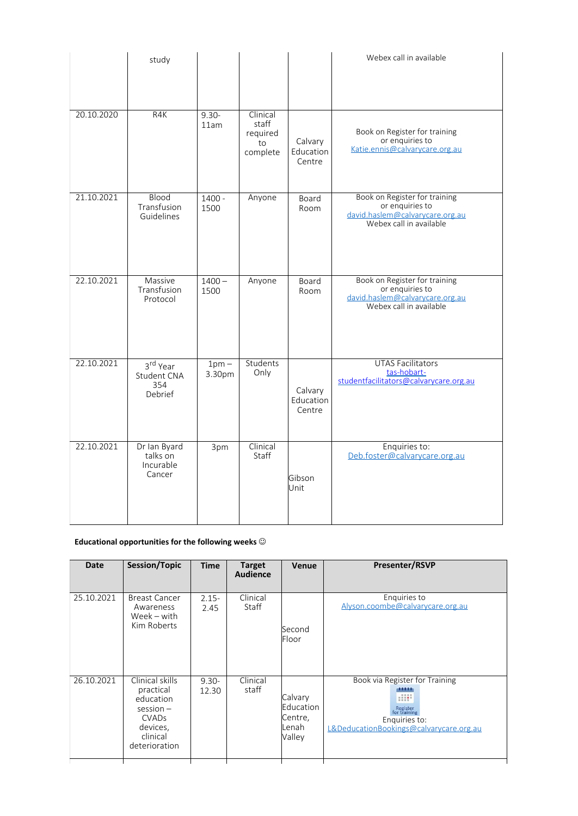|            | study                                           |                   |                                                 |                                | Webex call in available                                                                                        |
|------------|-------------------------------------------------|-------------------|-------------------------------------------------|--------------------------------|----------------------------------------------------------------------------------------------------------------|
| 20.10.2020 | R4K                                             | $9.30 -$<br>11am  | Clinical<br>staff<br>required<br>to<br>complete | Calvary<br>Education<br>Centre | Book on Register for training<br>or enquiries to<br>Katie.ennis@calvarycare.org.au                             |
| 21.10.2021 | <b>Blood</b><br>Transfusion<br>Guidelines       | $1400 -$<br>1500  | Anyone                                          | Board<br>Room                  | Book on Register for training<br>or enquiries to<br>david.haslem@calvarycare.org.au<br>Webex call in available |
| 22.10.2021 | Massive<br>Transfusion<br>Protocol              | $1400 -$<br>1500  | Anyone                                          | Board<br>Room                  | Book on Register for training<br>or enquiries to<br>david.haslem@calvarycare.org.au<br>Webex call in available |
| 22.10.2021 | 3rd Year<br>Student CNA<br>354<br>Debrief       | $1pm -$<br>3.30pm | Students<br>Only                                | Calvary<br>Education<br>Centre | <b>UTAS Facilitators</b><br>tas-hobart-<br>studentfacilitators@calvarycare.org.au                              |
| 22.10.2021 | Dr Ian Byard<br>talks on<br>Incurable<br>Cancer | 3pm               | Clinical<br>Staff                               | Gibson<br>Unit                 | Enquiries to:<br>Deb.foster@calvarycare.org.au                                                                 |

## Educational opportunities for the following weeks  $\odot$

| Date       | <b>Session/Topic</b>                                                                                                         | <b>Time</b>       | <b>Target</b><br><b>Audience</b> | Venue                                              | Presenter/RSVP                                                                                                                        |
|------------|------------------------------------------------------------------------------------------------------------------------------|-------------------|----------------------------------|----------------------------------------------------|---------------------------------------------------------------------------------------------------------------------------------------|
| 25.10.2021 | <b>Breast Cancer</b><br>Awareness<br>$Week - with$<br>Kim Roberts                                                            | $2.15 -$<br>2.45  | Clinical<br><b>Staff</b>         | Second<br>Floor                                    | Enquiries to<br>Alyson.coombe@calvarycare.org.au                                                                                      |
| 26.10.2021 | Clinical skills<br>practical<br>education<br>$session -$<br><b>CVAD<sub>s</sub></b><br>devices,<br>clinical<br>deterioration | $9.30 -$<br>12.30 | Clinical<br>staff                | Calvary<br>Education<br>Centre,<br>Lenah<br>Valley | Book via Register for Training<br><br>开 社 社 社<br>Register<br>for training<br>Enquiries to:<br>L&DeducationBookings@calvarycare.org.au |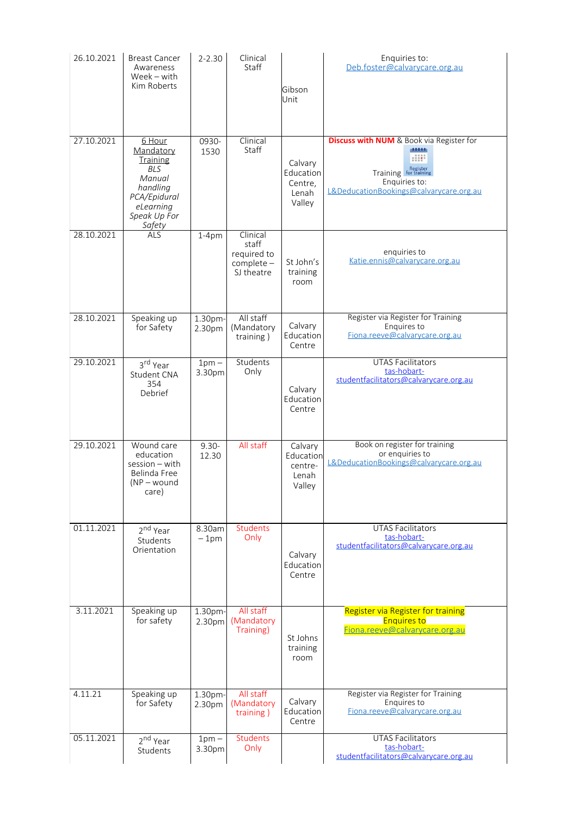| 26.10.2021 | <b>Breast Cancer</b><br>Awareness<br>Week - with<br>Kim Roberts                                                            | $2 - 2.30$        | Clinical<br>Staff                                              | Gibson<br>Unit                                     | Enquiries to:<br>Deb.foster@calvarycare.org.au                                                                                                   |
|------------|----------------------------------------------------------------------------------------------------------------------------|-------------------|----------------------------------------------------------------|----------------------------------------------------|--------------------------------------------------------------------------------------------------------------------------------------------------|
| 27.10.2021 | 6 Hour<br>Mandatory<br>Training<br><b>BLS</b><br>Manual<br>handling<br>PCA/Epidural<br>eLearning<br>Speak Up For<br>Safety | 0930-<br>1530     | Clinical<br>Staff                                              | Calvary<br>Education<br>Centre.<br>Lenah<br>Valley | <b>Discuss with NUM</b> & Book via Register for<br>11111<br>Training <b>Register</b><br>Enquiries to:<br>L&DeducationBookings@calvarycare.org.au |
| 28.10.2021 | <b>ALS</b>                                                                                                                 | $1-4pm$           | Clinical<br>staff<br>required to<br>$complete -$<br>SJ theatre | St John's<br>training<br>room                      | enquiries to<br>Katie.ennis@calvarycare.org.au                                                                                                   |
| 28.10.2021 | Speaking up<br>for Safety                                                                                                  | 1.30pm-<br>2.30pm | All staff<br>(Mandatory<br>training)                           | Calvary<br>Education<br>Centre                     | Register via Register for Training<br>Enquires to<br>Fiona.reeve@calvarycare.org.au                                                              |
| 29.10.2021 | 3rd Year<br>Student CNA<br>354<br>Debrief                                                                                  | $1pm -$<br>3.30pm | Students<br>Only                                               | Calvary<br>Education<br>Centre                     | <b>UTAS Facilitators</b><br>tas-hobart-<br>studentfacilitators@calvarycare.org.au                                                                |
| 29.10.2021 | Wound care<br>education<br>$session - with$<br>Belinda Free<br>$(NP - wound)$<br>care)                                     | $9.30 -$<br>12.30 | All staff                                                      | Calvary<br>Education<br>centre-<br>Lenah<br>Valley | Book on register for training<br>or enquiries to<br>L&DeducationBookings@calvarycare.org.au                                                      |
| 01.11.2021 | 2 <sup>nd</sup> Year<br>Students<br>Orientation                                                                            | 8.30am<br>$-1pm$  | <b>Students</b><br>Only                                        | Calvary<br>Education<br>Centre                     | <b>UTAS Facilitators</b><br>tas-hobart-<br>studentfacilitators@calvarycare.org.au                                                                |
| 3.11.2021  | Speaking up<br>for safety                                                                                                  | 1.30pm-<br>2.30pm | All staff<br>(Mandatory<br>Training)                           | St Johns<br>training<br>room                       | Register via Register for training<br><b>Enquires to</b><br>Fiona.reeve@calvarycare.org.au                                                       |
| 4.11.21    | Speaking up<br>for Safety                                                                                                  | 1.30pm-<br>2.30pm | All staff<br>(Mandatory<br>training)                           | Calvary<br>Education<br>Centre                     | Register via Register for Training<br>Enquires to<br>Fiona.reeve@calvarycare.org.au                                                              |
| 05.11.2021 | 2 <sup>nd</sup> Year<br>Students                                                                                           | $1pm -$<br>3.30pm | <b>Students</b><br>Only                                        |                                                    | <b>UTAS Facilitators</b><br>tas-hobart-<br>studentfacilitators@calvarycare.org.au                                                                |